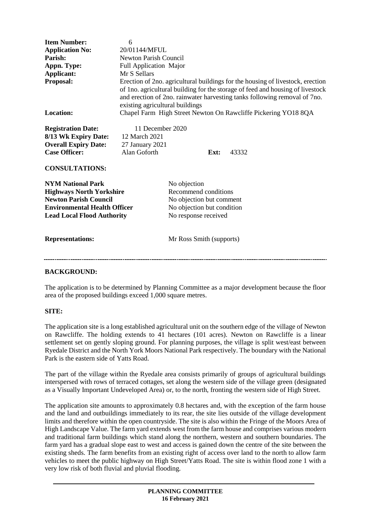| <b>Item Number:</b><br><b>Application No:</b><br>Parish:<br>Appn. Type:<br>Applicant:<br><b>Proposal:</b><br><b>Location:</b><br><b>Registration Date:</b><br>8/13 Wk Expiry Date:<br><b>Overall Expiry Date:</b><br><b>Case Officer:</b><br><b>CONSULTATIONS:</b> | 6<br>20/01144/MFUL<br><b>Newton Parish Council</b><br>Full Application Major<br>Mr S Sellars<br>Erection of 2no. agricultural buildings for the housing of livestock, erection<br>of 1no. agricultural building for the storage of feed and housing of livestock<br>and erection of 2no. rainwater harvesting tanks following removal of 7no.<br>existing agricultural buildings<br>Chapel Farm High Street Newton On Rawcliffe Pickering YO18 8QA<br>11 December 2020<br>12 March 2021<br>27 January 2021<br>Alan Goforth<br>Ext:<br>43332 |                                                                                                                                                    |  |
|--------------------------------------------------------------------------------------------------------------------------------------------------------------------------------------------------------------------------------------------------------------------|---------------------------------------------------------------------------------------------------------------------------------------------------------------------------------------------------------------------------------------------------------------------------------------------------------------------------------------------------------------------------------------------------------------------------------------------------------------------------------------------------------------------------------------------|----------------------------------------------------------------------------------------------------------------------------------------------------|--|
| <b>NYM National Park</b><br><b>Highways North Yorkshire</b><br><b>Newton Parish Council</b><br><b>Environmental Health Officer</b><br><b>Lead Local Flood Authority</b><br><b>Representations:</b>                                                                 |                                                                                                                                                                                                                                                                                                                                                                                                                                                                                                                                             | No objection<br>Recommend conditions<br>No objection but comment<br>No objection but condition<br>No response received<br>Mr Ross Smith (supports) |  |
|                                                                                                                                                                                                                                                                    |                                                                                                                                                                                                                                                                                                                                                                                                                                                                                                                                             |                                                                                                                                                    |  |

### **BACKGROUND:**

The application is to be determined by Planning Committee as a major development because the floor area of the proposed buildings exceed 1,000 square metres.

#### **SITE:**

The application site is a long established agricultural unit on the southern edge of the village of Newton on Rawcliffe. The holding extends to 41 hectares (101 acres). Newton on Rawcliffe is a linear settlement set on gently sloping ground. For planning purposes, the village is split west/east between Ryedale District and the North York Moors National Park respectively. The boundary with the National Park is the eastern side of Yatts Road.

The part of the village within the Ryedale area consists primarily of groups of agricultural buildings interspersed with rows of terraced cottages, set along the western side of the village green (designated as a Visually Important Undeveloped Area) or, to the north, fronting the western side of High Street.

The application site amounts to approximately 0.8 hectares and, with the exception of the farm house and the land and outbuildings immediately to its rear, the site lies outside of the village development limits and therefore within the open countryside. The site is also within the Fringe of the Moors Area of High Landscape Value. The farm yard extends west from the farm house and comprises various modern and traditional farm buildings which stand along the northern, western and southern boundaries. The farm yard has a gradual slope east to west and access is gained down the centre of the site between the existing sheds. The farm benefits from an existing right of access over land to the north to allow farm vehicles to meet the public highway on High Street/Yatts Road. The site is within flood zone 1 with a very low risk of both fluvial and pluvial flooding.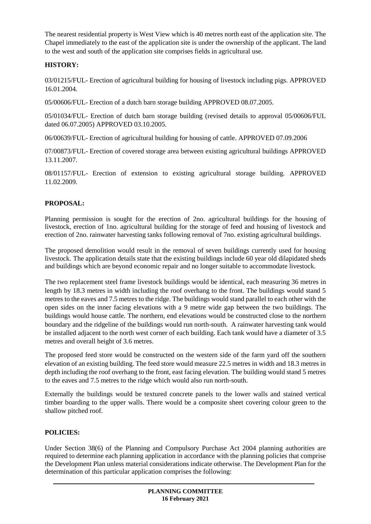The nearest residential property is West View which is 40 metres north east of the application site. The Chapel immediately to the east of the application site is under the ownership of the applicant. The land to the west and south of the application site comprises fields in agricultural use.

## **HISTORY:**

03/01215/FUL- Erection of agricultural building for housing of livestock including pigs. APPROVED 16.01.2004.

05/00606/FUL- Erection of a dutch barn storage building APPROVED 08.07.2005.

05/01034/FUL- Erection of dutch barn storage building (revised details to approval 05/00606/FUL dated 06.07.2005) APPROVED 03.10.2005.

06/00639/FUL- Erection of agricultural building for housing of cattle. APPROVED 07.09.2006

07/00873/FUL- Erection of covered storage area between existing agricultural buildings APPROVED 13.11.2007.

08/01157/FUL- Erection of extension to existing agricultural storage building. APPROVED 11.02.2009.

# **PROPOSAL:**

Planning permission is sought for the erection of 2no. agricultural buildings for the housing of livestock, erection of 1no. agricultural building for the storage of feed and housing of livestock and erection of 2no. rainwater harvesting tanks following removal of 7no. existing agricultural buildings.

The proposed demolition would result in the removal of seven buildings currently used for housing livestock. The application details state that the existing buildings include 60 year old dilapidated sheds and buildings which are beyond economic repair and no longer suitable to accommodate livestock.

The two replacement steel frame livestock buildings would be identical, each measuring 36 metres in length by 18.3 metres in width including the roof overhang to the front. The buildings would stand 5 metres to the eaves and 7.5 metres to the ridge. The buildings would stand parallel to each other with the open sides on the inner facing elevations with a 9 metre wide gap between the two buildings. The buildings would house cattle. The northern, end elevations would be constructed close to the northern boundary and the ridgeline of the buildings would run north-south. A rainwater harvesting tank would be installed adjacent to the north west corner of each building. Each tank would have a diameter of 3.5 metres and overall height of 3.6 metres.

The proposed feed store would be constructed on the western side of the farm yard off the southern elevation of an existing building. The feed store would measure 22.5 metres in width and 18.3 metres in depth including the roof overhang to the front, east facing elevation. The building would stand 5 metres to the eaves and 7.5 metres to the ridge which would also run north-south.

Externally the buildings would be textured concrete panels to the lower walls and stained vertical timber boarding to the upper walls. There would be a composite sheet covering colour green to the shallow pitched roof.

## **POLICIES:**

Under Section 38(6) of the Planning and Compulsory Purchase Act 2004 planning authorities are required to determine each planning application in accordance with the planning policies that comprise the Development Plan unless material considerations indicate otherwise. The Development Plan for the determination of this particular application comprises the following: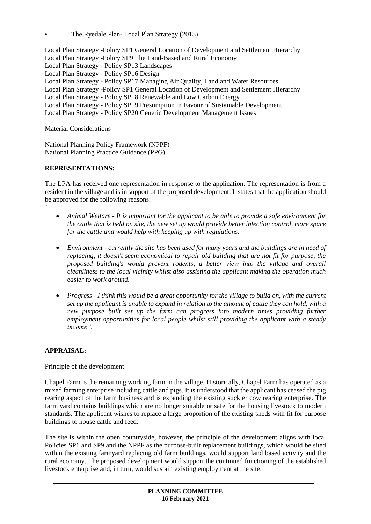• The Ryedale Plan- Local Plan Strategy (2013)

Local Plan Strategy -Policy SP1 General Location of Development and Settlement Hierarchy Local Plan Strategy -Policy SP9 The Land-Based and Rural Economy Local Plan Strategy - Policy SP13 Landscapes Local Plan Strategy - Policy SP16 Design Local Plan Strategy - Policy SP17 Managing Air Quality, Land and Water Resources Local Plan Strategy -Policy SP1 General Location of Development and Settlement Hierarchy Local Plan Strategy - Policy SP18 Renewable and Low Carbon Energy Local Plan Strategy - Policy SP19 Presumption in Favour of Sustainable Development Local Plan Strategy - Policy SP20 Generic Development Management Issues

Material Considerations

National Planning Policy Framework (NPPF) National Planning Practice Guidance (PPG)

### **REPRESENTATIONS:**

*"*

The LPA has received one representation in response to the application. The representation is from a resident in the village and is in support of the proposed development. It states that the application should be approved for the following reasons:

- *Animal Welfare - It is important for the applicant to be able to provide a safe environment for the cattle that is held on site, the new set up would provide better infection control, more space for the cattle and would help with keeping up with regulations.*
- *Environment - currently the site has been used for many years and the buildings are in need of replacing, it doesn't seem economical to repair old building that are not fit for purpose, the proposed building's would prevent rodents, a better view into the village and overall cleanliness to the local vicinity whilst also assisting the applicant making the operation much easier to work around.*
- *Progress - I think this would be a great opportunity for the village to build on, with the current set up the applicant is unable to expand in relation to the amount of cattle they can hold, with a new purpose built set up the farm can progress into modern times providing further employment opportunities for local people whilst still providing the applicant with a steady income".*

## **APPRAISAL:**

### Principle of the development

Chapel Farm is the remaining working farm in the village. Historically, Chapel Farm has operated as a mixed farming enterprise including cattle and pigs. It is understood that the applicant has ceased the pig rearing aspect of the farm business and is expanding the existing suckler cow rearing enterprise. The farm yard contains buildings which are no longer suitable or safe for the housing livestock to modern standards. The applicant wishes to replace a large proportion of the existing sheds with fit for purpose buildings to house cattle and feed.

The site is within the open countryside, however, the principle of the development aligns with local Policies SP1 and SP9 and the NPPF as the purpose-built replacement buildings, which would be sited within the existing farmyard replacing old farm buildings, would support land based activity and the rural economy. The proposed development would support the continued functioning of the established livestock enterprise and, in turn, would sustain existing employment at the site.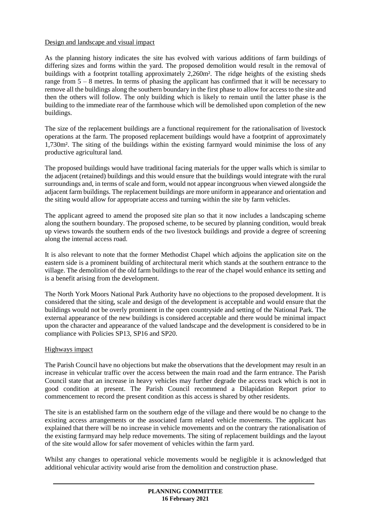### Design and landscape and visual impact

As the planning history indicates the site has evolved with various additions of farm buildings of differing sizes and forms within the yard. The proposed demolition would result in the removal of buildings with a footprint totalling approximately 2,260m². The ridge heights of the existing sheds range from 5 – 8 metres. In terms of phasing the applicant has confirmed that it will be necessary to remove all the buildings along the southern boundary in the first phase to allow for access to the site and then the others will follow. The only building which is likely to remain until the latter phase is the building to the immediate rear of the farmhouse which will be demolished upon completion of the new buildings.

The size of the replacement buildings are a functional requirement for the rationalisation of livestock operations at the farm. The proposed replacement buildings would have a footprint of approximately 1,730m². The siting of the buildings within the existing farmyard would minimise the loss of any productive agricultural land.

The proposed buildings would have traditional facing materials for the upper walls which is similar to the adjacent (retained) buildings and this would ensure that the buildings would integrate with the rural surroundings and, in terms of scale and form, would not appear incongruous when viewed alongside the adjacent farm buildings. The replacement buildings are more uniform in appearance and orientation and the siting would allow for appropriate access and turning within the site by farm vehicles.

The applicant agreed to amend the proposed site plan so that it now includes a landscaping scheme along the southern boundary. The proposed scheme, to be secured by planning condition, would break up views towards the southern ends of the two livestock buildings and provide a degree of screening along the internal access road.

It is also relevant to note that the former Methodist Chapel which adjoins the application site on the eastern side is a prominent building of architectural merit which stands at the southern entrance to the village. The demolition of the old farm buildings to the rear of the chapel would enhance its setting and is a benefit arising from the development.

The North York Moors National Park Authority have no objections to the proposed development. It is considered that the siting, scale and design of the development is acceptable and would ensure that the buildings would not be overly prominent in the open countryside and setting of the National Park. The external appearance of the new buildings is considered acceptable and there would be minimal impact upon the character and appearance of the valued landscape and the development is considered to be in compliance with Policies SP13, SP16 and SP20.

### Highways impact

The Parish Council have no objections but make the observations that the development may result in an increase in vehicular traffic over the access between the main road and the farm entrance. The Parish Council state that an increase in heavy vehicles may further degrade the access track which is not in good condition at present. The Parish Council recommend a Dilapidation Report prior to commencement to record the present condition as this access is shared by other residents.

The site is an established farm on the southern edge of the village and there would be no change to the existing access arrangements or the associated farm related vehicle movements. The applicant has explained that there will be no increase in vehicle movements and on the contrary the rationalisation of the existing farmyard may help reduce movements. The siting of replacement buildings and the layout of the site would allow for safer movement of vehicles within the farm yard.

Whilst any changes to operational vehicle movements would be negligible it is acknowledged that additional vehicular activity would arise from the demolition and construction phase.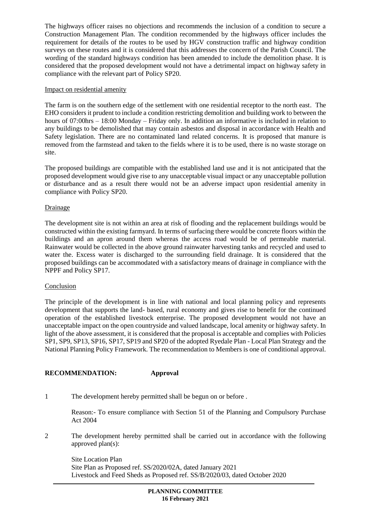The highways officer raises no objections and recommends the inclusion of a condition to secure a Construction Management Plan. The condition recommended by the highways officer includes the requirement for details of the routes to be used by HGV construction traffic and highway condition surveys on these routes and it is considered that this addresses the concern of the Parish Council. The wording of the standard highways condition has been amended to include the demolition phase. It is considered that the proposed development would not have a detrimental impact on highway safety in compliance with the relevant part of Policy SP20.

#### Impact on residential amenity

The farm is on the southern edge of the settlement with one residential receptor to the north east. The EHO considers it prudent to include a condition restricting demolition and building work to between the hours of 07:00hrs – 18:00 Monday – Friday only. In addition an informative is included in relation to any buildings to be demolished that may contain asbestos and disposal in accordance with Health and Safety legislation. There are no contaminated land related concerns. It is proposed that manure is removed from the farmstead and taken to the fields where it is to be used, there is no waste storage on site.

The proposed buildings are compatible with the established land use and it is not anticipated that the proposed development would give rise to any unacceptable visual impact or any unacceptable pollution or disturbance and as a result there would not be an adverse impact upon residential amenity in compliance with Policy SP20.

#### Drainage

The development site is not within an area at risk of flooding and the replacement buildings would be constructed within the existing farmyard. In terms of surfacing there would be concrete floors within the buildings and an apron around them whereas the access road would be of permeable material. Rainwater would be collected in the above ground rainwater harvesting tanks and recycled and used to water the. Excess water is discharged to the surrounding field drainage. It is considered that the proposed buildings can be accommodated with a satisfactory means of drainage in compliance with the NPPF and Policy SP17.

#### Conclusion

The principle of the development is in line with national and local planning policy and represents development that supports the land- based, rural economy and gives rise to benefit for the continued operation of the established livestock enterprise. The proposed development would not have an unacceptable impact on the open countryside and valued landscape, local amenity or highway safety. In light of the above assessment, it is considered that the proposal is acceptable and complies with Policies SP1, SP9, SP13, SP16, SP17, SP19 and SP20 of the adopted Ryedale Plan - Local Plan Strategy and the National Planning Policy Framework. The recommendation to Members is one of conditional approval.

### **RECOMMENDATION: Approval**

1 The development hereby permitted shall be begun on or before .

Reason:- To ensure compliance with Section 51 of the Planning and Compulsory Purchase Act 2004

2 The development hereby permitted shall be carried out in accordance with the following approved plan(s):

Site Location Plan Site Plan as Proposed ref. SS/2020/02A, dated January 2021 Livestock and Feed Sheds as Proposed ref. SS/B/2020/03, dated October 2020